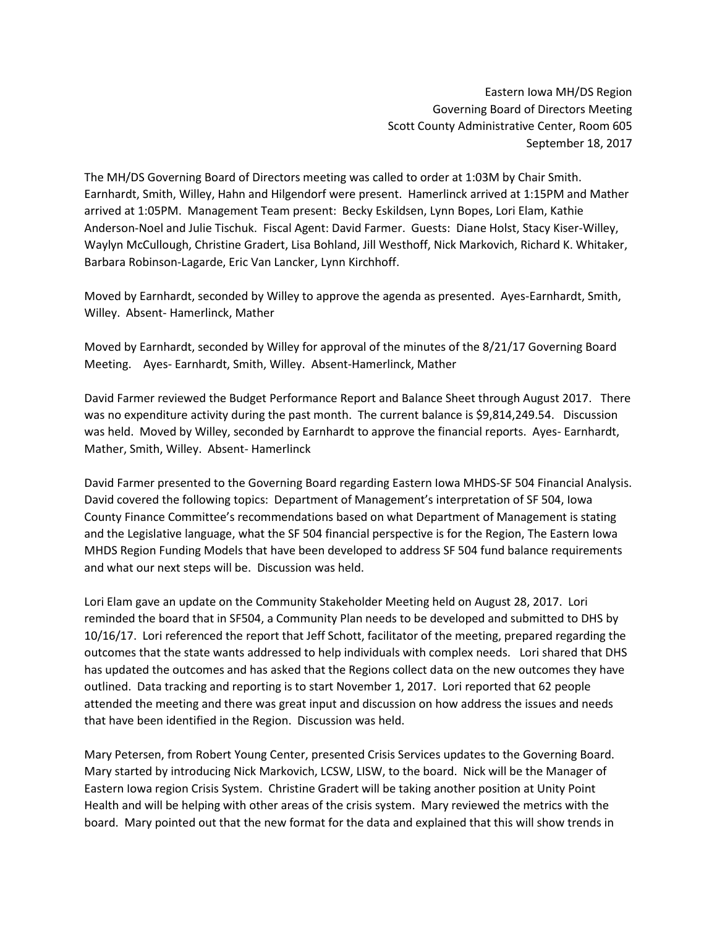Eastern Iowa MH/DS Region Governing Board of Directors Meeting Scott County Administrative Center, Room 605 September 18, 2017

The MH/DS Governing Board of Directors meeting was called to order at 1:03M by Chair Smith. Earnhardt, Smith, Willey, Hahn and Hilgendorf were present. Hamerlinck arrived at 1:15PM and Mather arrived at 1:05PM. Management Team present: Becky Eskildsen, Lynn Bopes, Lori Elam, Kathie Anderson-Noel and Julie Tischuk. Fiscal Agent: David Farmer. Guests: Diane Holst, Stacy Kiser-Willey, Waylyn McCullough, Christine Gradert, Lisa Bohland, Jill Westhoff, Nick Markovich, Richard K. Whitaker, Barbara Robinson-Lagarde, Eric Van Lancker, Lynn Kirchhoff.

Moved by Earnhardt, seconded by Willey to approve the agenda as presented. Ayes-Earnhardt, Smith, Willey. Absent- Hamerlinck, Mather

Moved by Earnhardt, seconded by Willey for approval of the minutes of the 8/21/17 Governing Board Meeting. Ayes- Earnhardt, Smith, Willey. Absent-Hamerlinck, Mather

David Farmer reviewed the Budget Performance Report and Balance Sheet through August 2017. There was no expenditure activity during the past month. The current balance is \$9,814,249.54. Discussion was held. Moved by Willey, seconded by Earnhardt to approve the financial reports. Ayes- Earnhardt, Mather, Smith, Willey. Absent- Hamerlinck

David Farmer presented to the Governing Board regarding Eastern Iowa MHDS-SF 504 Financial Analysis. David covered the following topics: Department of Management's interpretation of SF 504, Iowa County Finance Committee's recommendations based on what Department of Management is stating and the Legislative language, what the SF 504 financial perspective is for the Region, The Eastern Iowa MHDS Region Funding Models that have been developed to address SF 504 fund balance requirements and what our next steps will be. Discussion was held.

Lori Elam gave an update on the Community Stakeholder Meeting held on August 28, 2017. Lori reminded the board that in SF504, a Community Plan needs to be developed and submitted to DHS by 10/16/17. Lori referenced the report that Jeff Schott, facilitator of the meeting, prepared regarding the outcomes that the state wants addressed to help individuals with complex needs. Lori shared that DHS has updated the outcomes and has asked that the Regions collect data on the new outcomes they have outlined. Data tracking and reporting is to start November 1, 2017. Lori reported that 62 people attended the meeting and there was great input and discussion on how address the issues and needs that have been identified in the Region. Discussion was held.

Mary Petersen, from Robert Young Center, presented Crisis Services updates to the Governing Board. Mary started by introducing Nick Markovich, LCSW, LISW, to the board. Nick will be the Manager of Eastern Iowa region Crisis System. Christine Gradert will be taking another position at Unity Point Health and will be helping with other areas of the crisis system. Mary reviewed the metrics with the board. Mary pointed out that the new format for the data and explained that this will show trends in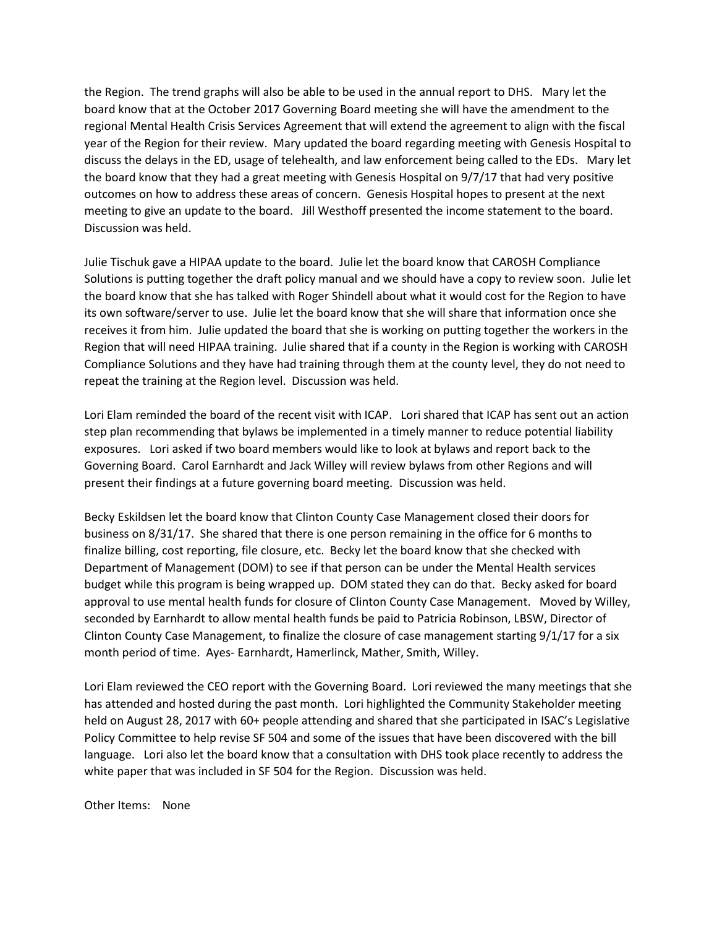the Region. The trend graphs will also be able to be used in the annual report to DHS. Mary let the board know that at the October 2017 Governing Board meeting she will have the amendment to the regional Mental Health Crisis Services Agreement that will extend the agreement to align with the fiscal year of the Region for their review. Mary updated the board regarding meeting with Genesis Hospital to discuss the delays in the ED, usage of telehealth, and law enforcement being called to the EDs. Mary let the board know that they had a great meeting with Genesis Hospital on 9/7/17 that had very positive outcomes on how to address these areas of concern. Genesis Hospital hopes to present at the next meeting to give an update to the board. Jill Westhoff presented the income statement to the board. Discussion was held.

Julie Tischuk gave a HIPAA update to the board. Julie let the board know that CAROSH Compliance Solutions is putting together the draft policy manual and we should have a copy to review soon. Julie let the board know that she has talked with Roger Shindell about what it would cost for the Region to have its own software/server to use. Julie let the board know that she will share that information once she receives it from him. Julie updated the board that she is working on putting together the workers in the Region that will need HIPAA training. Julie shared that if a county in the Region is working with CAROSH Compliance Solutions and they have had training through them at the county level, they do not need to repeat the training at the Region level. Discussion was held.

Lori Elam reminded the board of the recent visit with ICAP. Lori shared that ICAP has sent out an action step plan recommending that bylaws be implemented in a timely manner to reduce potential liability exposures. Lori asked if two board members would like to look at bylaws and report back to the Governing Board. Carol Earnhardt and Jack Willey will review bylaws from other Regions and will present their findings at a future governing board meeting. Discussion was held.

Becky Eskildsen let the board know that Clinton County Case Management closed their doors for business on 8/31/17. She shared that there is one person remaining in the office for 6 months to finalize billing, cost reporting, file closure, etc. Becky let the board know that she checked with Department of Management (DOM) to see if that person can be under the Mental Health services budget while this program is being wrapped up. DOM stated they can do that. Becky asked for board approval to use mental health funds for closure of Clinton County Case Management. Moved by Willey, seconded by Earnhardt to allow mental health funds be paid to Patricia Robinson, LBSW, Director of Clinton County Case Management, to finalize the closure of case management starting 9/1/17 for a six month period of time. Ayes- Earnhardt, Hamerlinck, Mather, Smith, Willey.

Lori Elam reviewed the CEO report with the Governing Board. Lori reviewed the many meetings that she has attended and hosted during the past month. Lori highlighted the Community Stakeholder meeting held on August 28, 2017 with 60+ people attending and shared that she participated in ISAC's Legislative Policy Committee to help revise SF 504 and some of the issues that have been discovered with the bill language. Lori also let the board know that a consultation with DHS took place recently to address the white paper that was included in SF 504 for the Region. Discussion was held.

Other Items: None